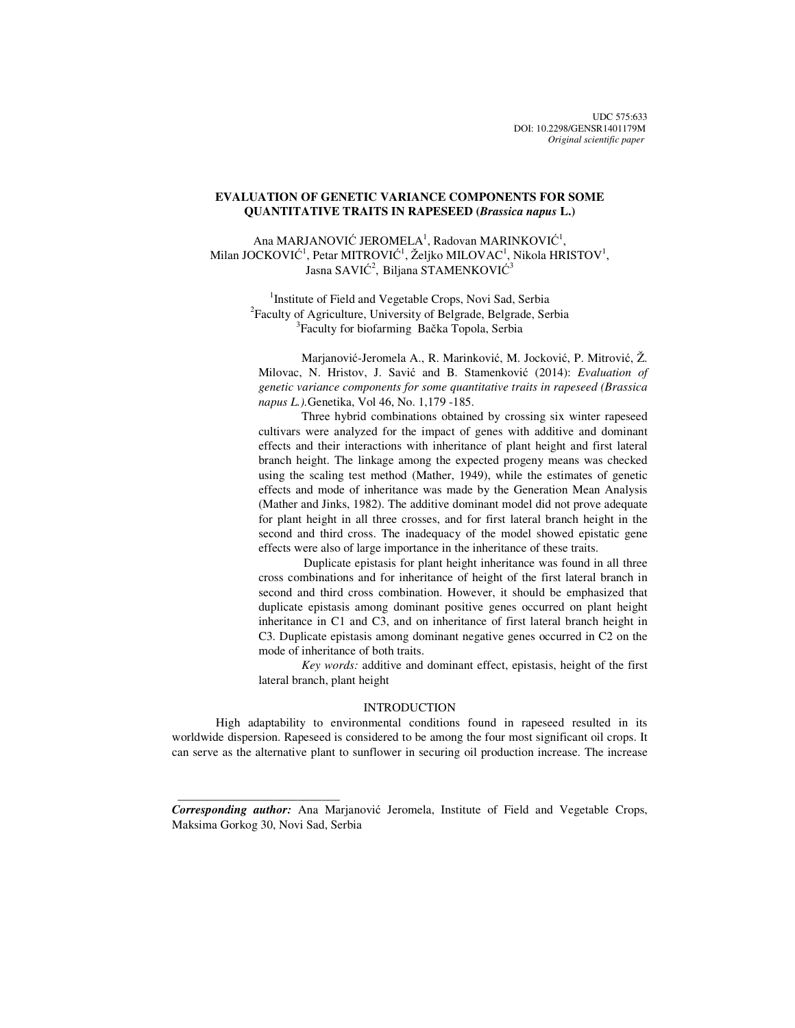# **EVALUATION OF GENETIC VARIANCE COMPONENTS FOR SOME QUANTITATIVE TRAITS IN RAPESEED (***Brassica napus* **L.)**

Ana MARJANOVIĆ JEROMELA<sup>1</sup>, Radovan MARINKOVIĆ<sup>1</sup>, Milan JOCKOVIĆ<sup>1</sup>, Petar MITROVIĆ<sup>1</sup>, Željko MILOVAC<sup>1</sup>, Nikola HRISTOV<sup>1</sup>, Jasna SAVIĆ $^2$ , Biljana STAMENKOVIĆ $^3$ 

> <sup>1</sup>Institute of Field and Vegetable Crops, Novi Sad, Serbia 2 Faculty of Agriculture, University of Belgrade, Belgrade, Serbia <sup>3</sup>Faculty for biofarming Bačka Topola, Serbia

Marjanović-Jeromela A., R. Marinković, M. Jocković, P. Mitrović, Ž. Milovac, N. Hristov, J. Savić and B. Stamenković (2014): *Evaluation of genetic variance components for some quantitative traits in rapeseed (Brassica napus L.).*Genetika, Vol 46, No. 1,179 -185.

Three hybrid combinations obtained by crossing six winter rapeseed cultivars were analyzed for the impact of genes with additive and dominant effects and their interactions with inheritance of plant height and first lateral branch height. The linkage among the expected progeny means was checked using the scaling test method (Mather, 1949), while the estimates of genetic effects and mode of inheritance was made by the Generation Mean Analysis (Mather and Jinks, 1982). The additive dominant model did not prove adequate for plant height in all three crosses, and for first lateral branch height in the second and third cross. The inadequacy of the model showed epistatic gene effects were also of large importance in the inheritance of these traits.

 Duplicate epistasis for plant height inheritance was found in all three cross combinations and for inheritance of height of the first lateral branch in second and third cross combination. However, it should be emphasized that duplicate epistasis among dominant positive genes occurred on plant height inheritance in C1 and C3, and on inheritance of first lateral branch height in C3. Duplicate epistasis among dominant negative genes occurred in C2 on the mode of inheritance of both traits.

*Key words:* additive and dominant effect, epistasis, height of the first lateral branch, plant height

# INTRODUCTION

High adaptability to environmental conditions found in rapeseed resulted in its worldwide dispersion. Rapeseed is considered to be among the four most significant oil crops. It can serve as the alternative plant to sunflower in securing oil production increase. The increase

*Corresponding author:* Ana Marjanović Jeromela, Institute of Field and Vegetable Crops, Maksima Gorkog 30, Novi Sad, Serbia

 $\frac{1}{2}$  , and the set of the set of the set of the set of the set of the set of the set of the set of the set of the set of the set of the set of the set of the set of the set of the set of the set of the set of the set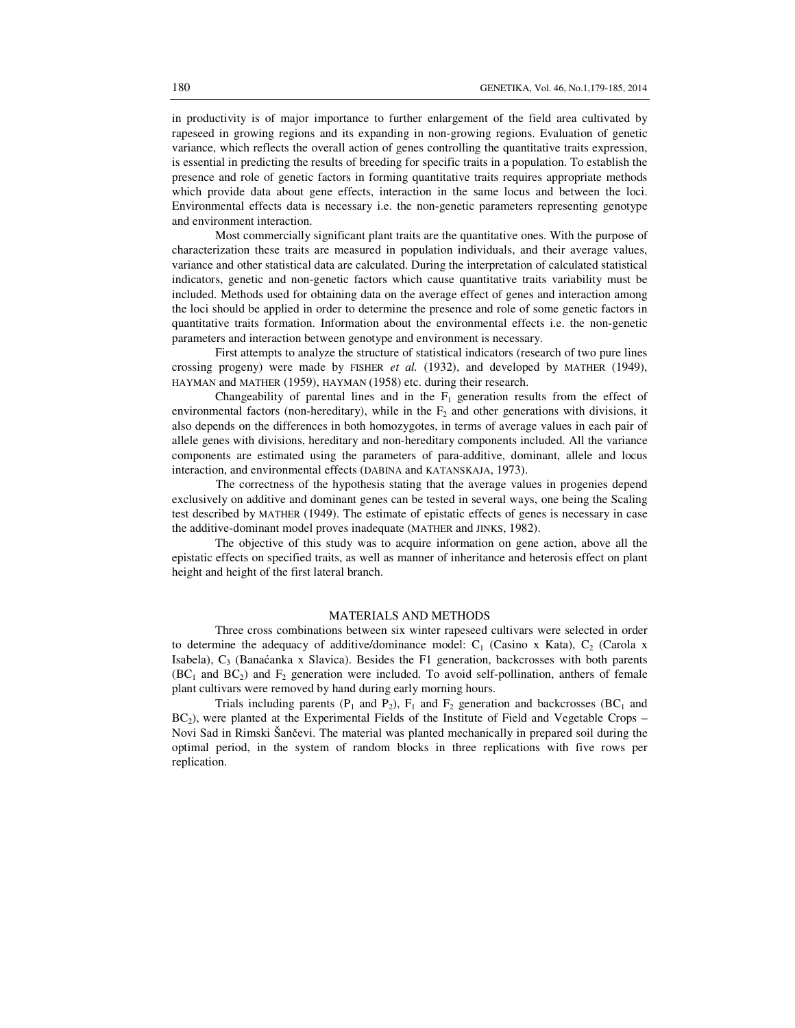in productivity is of major importance to further enlargement of the field area cultivated by rapeseed in growing regions and its expanding in non-growing regions. Evaluation of genetic variance, which reflects the overall action of genes controlling the quantitative traits expression, is essential in predicting the results of breeding for specific traits in a population. To establish the presence and role of genetic factors in forming quantitative traits requires appropriate methods which provide data about gene effects, interaction in the same locus and between the loci. Environmental effects data is necessary i.e. the non-genetic parameters representing genotype and environment interaction.

Most commercially significant plant traits are the quantitative ones. With the purpose of characterization these traits are measured in population individuals, and their average values, variance and other statistical data are calculated. During the interpretation of calculated statistical indicators, genetic and non-genetic factors which cause quantitative traits variability must be included. Methods used for obtaining data on the average effect of genes and interaction among the loci should be applied in order to determine the presence and role of some genetic factors in quantitative traits formation. Information about the environmental effects i.e. the non-genetic parameters and interaction between genotype and environment is necessary.

First attempts to analyze the structure of statistical indicators (research of two pure lines crossing progeny) were made by FISHER *et al.* (1932), and developed by MATHER (1949), HAYMAN and MATHER (1959), HAYMAN (1958) etc. during their research.

Changeability of parental lines and in the  $F_1$  generation results from the effect of environmental factors (non-hereditary), while in the  $F_2$  and other generations with divisions, it also depends on the differences in both homozygotes, in terms of average values in each pair of allele genes with divisions, hereditary and non-hereditary components included. All the variance components are estimated using the parameters of para-additive, dominant, allele and locus interaction, and environmental effects (DABINA and KATANSKAJA, 1973).

 The correctness of the hypothesis stating that the average values in progenies depend exclusively on additive and dominant genes can be tested in several ways, one being the Scaling test described by MATHER (1949). The estimate of epistatic effects of genes is necessary in case the additive-dominant model proves inadequate (MATHER and JINKS, 1982).

 The objective of this study was to acquire information on gene action, above all the epistatic effects on specified traits, as well as manner of inheritance and heterosis effect on plant height and height of the first lateral branch.

#### MATERIALS AND METHODS

Three cross combinations between six winter rapeseed cultivars were selected in order to determine the adequacy of additive/dominance model:  $C_1$  (Casino x Kata),  $C_2$  (Carola x Isabela), C<sub>3</sub> (Banaćanka x Slavica). Besides the F1 generation, backcrosses with both parents  $(BC_1$  and  $BC_2)$  and  $F_2$  generation were included. To avoid self-pollination, anthers of female plant cultivars were removed by hand during early morning hours.

Trials including parents ( $P_1$  and  $P_2$ ),  $F_1$  and  $F_2$  generation and backcrosses (BC<sub>1</sub> and  $BC<sub>2</sub>$ ), were planted at the Experimental Fields of the Institute of Field and Vegetable Crops – Novi Sad in Rimski Šančevi. The material was planted mechanically in prepared soil during the optimal period, in the system of random blocks in three replications with five rows per replication.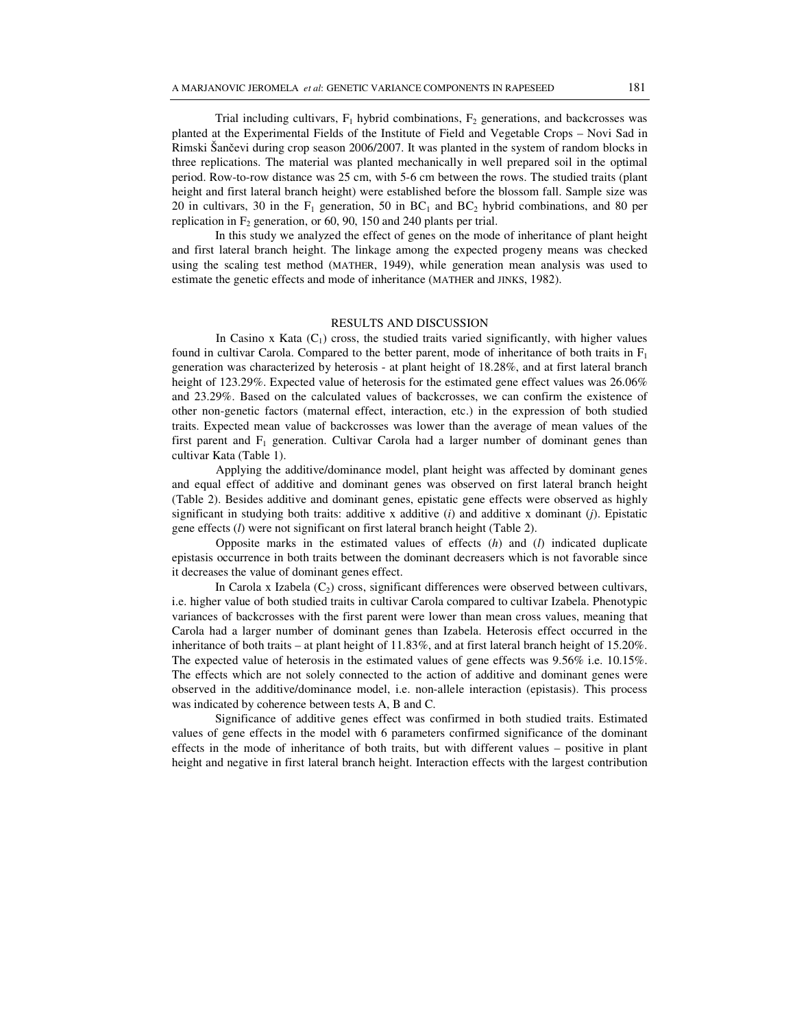Trial including cultivars,  $F_1$  hybrid combinations,  $F_2$  generations, and backcrosses was planted at the Experimental Fields of the Institute of Field and Vegetable Crops – Novi Sad in Rimski Šančevi during crop season 2006/2007. It was planted in the system of random blocks in three replications. The material was planted mechanically in well prepared soil in the optimal period. Row-to-row distance was 25 cm, with 5-6 cm between the rows. The studied traits (plant height and first lateral branch height) were established before the blossom fall. Sample size was 20 in cultivars, 30 in the  $F_1$  generation, 50 in  $BC_1$  and  $BC_2$  hybrid combinations, and 80 per replication in  $F_2$  generation, or 60, 90, 150 and 240 plants per trial.

In this study we analyzed the effect of genes on the mode of inheritance of plant height and first lateral branch height. The linkage among the expected progeny means was checked using the scaling test method (MATHER, 1949), while generation mean analysis was used to estimate the genetic effects and mode of inheritance (MATHER and JINKS, 1982).

#### RESULTS AND DISCUSSION

In Casino x Kata  $(C_1)$  cross, the studied traits varied significantly, with higher values found in cultivar Carola. Compared to the better parent, mode of inheritance of both traits in  $F_1$ generation was characterized by heterosis - at plant height of 18.28%, and at first lateral branch height of 123.29%. Expected value of heterosis for the estimated gene effect values was 26.06% and 23.29%. Based on the calculated values of backcrosses, we can confirm the existence of other non-genetic factors (maternal effect, interaction, etc.) in the expression of both studied traits. Expected mean value of backcrosses was lower than the average of mean values of the first parent and  $F_1$  generation. Cultivar Carola had a larger number of dominant genes than cultivar Kata (Table 1).

 Applying the additive/dominance model, plant height was affected by dominant genes and equal effect of additive and dominant genes was observed on first lateral branch height (Table 2). Besides additive and dominant genes, epistatic gene effects were observed as highly significant in studying both traits: additive x additive (*i*) and additive x dominant (*j*). Epistatic gene effects (*l*) were not significant on first lateral branch height (Table 2).

 Opposite marks in the estimated values of effects (*h*) and (*l*) indicated duplicate epistasis occurrence in both traits between the dominant decreasers which is not favorable since it decreases the value of dominant genes effect.

In Carola x Izabela  $(C_2)$  cross, significant differences were observed between cultivars, i.e. higher value of both studied traits in cultivar Carola compared to cultivar Izabela. Phenotypic variances of backcrosses with the first parent were lower than mean cross values, meaning that Carola had a larger number of dominant genes than Izabela. Heterosis effect occurred in the inheritance of both traits – at plant height of 11.83%, and at first lateral branch height of 15.20%. The expected value of heterosis in the estimated values of gene effects was 9.56% i.e. 10.15%. The effects which are not solely connected to the action of additive and dominant genes were observed in the additive/dominance model, i.e. non-allele interaction (epistasis). This process was indicated by coherence between tests A, B and C.

Significance of additive genes effect was confirmed in both studied traits. Estimated values of gene effects in the model with 6 parameters confirmed significance of the dominant effects in the mode of inheritance of both traits, but with different values – positive in plant height and negative in first lateral branch height. Interaction effects with the largest contribution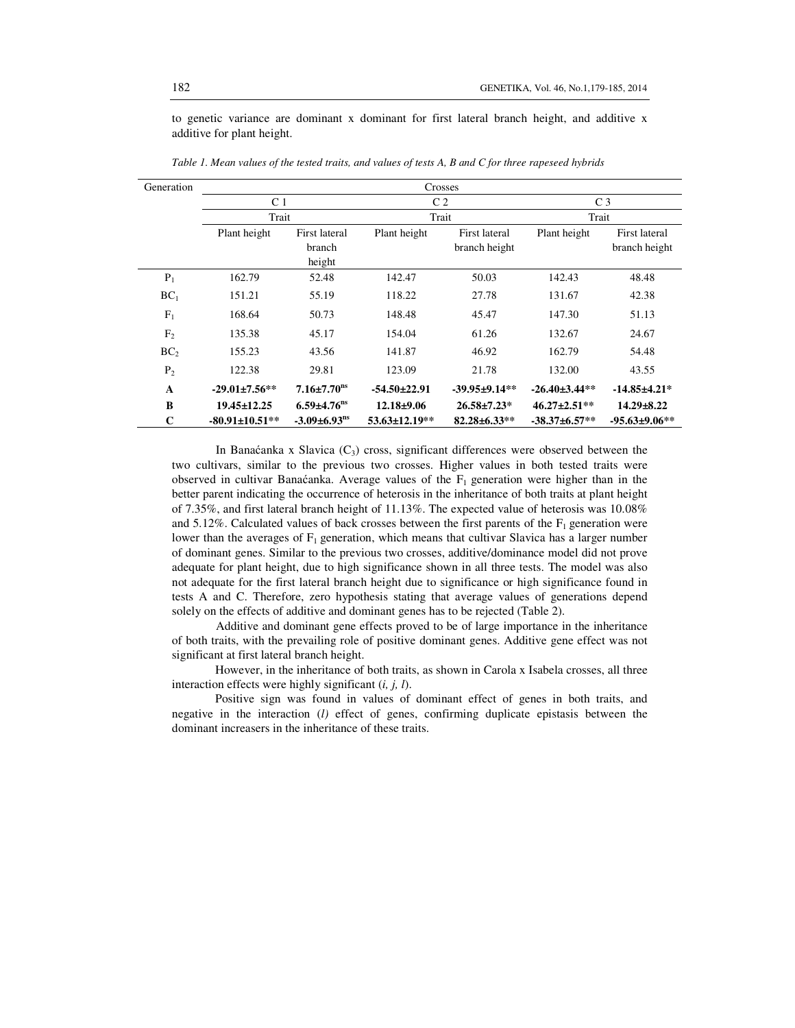to genetic variance are dominant x dominant for first lateral branch height, and additive x additive for plant height.

| Generation      | Crosses               |                                |                    |                     |                      |                     |  |  |
|-----------------|-----------------------|--------------------------------|--------------------|---------------------|----------------------|---------------------|--|--|
|                 | C <sub>1</sub>        |                                | C <sub>2</sub>     |                     | C <sub>3</sub>       |                     |  |  |
|                 | Trait                 |                                | Trait              |                     | Trait                |                     |  |  |
|                 | Plant height          | First lateral                  | Plant height       | First lateral       | Plant height         | First lateral       |  |  |
|                 |                       | branch                         |                    | branch height       |                      | branch height       |  |  |
|                 |                       | height                         |                    |                     |                      |                     |  |  |
| $P_1$           | 162.79                | 52.48                          | 142.47             | 50.03               | 142.43               | 48.48               |  |  |
| BC <sub>1</sub> | 151.21                | 55.19                          | 118.22             | 27.78               | 131.67               | 42.38               |  |  |
| $F_1$           | 168.64                | 50.73                          | 148.48             | 45.47               | 147.30               | 51.13               |  |  |
| F <sub>2</sub>  | 135.38                | 45.17                          | 154.04             | 61.26               | 132.67               | 24.67               |  |  |
| BC <sub>2</sub> | 155.23                | 43.56                          | 141.87             | 46.92               | 162.79               | 54.48               |  |  |
| P <sub>2</sub>  | 122.38                | 29.81                          | 123.09             | 21.78               | 132.00               | 43.55               |  |  |
| A               | $-29.01 \pm 7.56$ **  | $7.16 \pm 7.70$ <sup>ns</sup>  | $-54.50 \pm 22.91$ | $-39.95 \pm 9.14**$ | $-26.40 \pm 3.44$ ** | $-14.85 + 4.21*$    |  |  |
| B               | $19.45 \pm 12.25$     | $6.59{\pm}4.76^{\text{ns}}$    | $12.18 \pm 9.06$   | $26.58 \pm 7.23^*$  | $46.27 \pm 2.51**$   | $14.29 \pm 8.22$    |  |  |
| $\mathbf C$     | $-80.91 \pm 10.51$ ** | $-3.09 \pm 6.93$ <sup>ns</sup> | 53.63±12.19**      | $82.28 \pm 6.33**$  | $-38.37 \pm 6.57**$  | $-95.63 \pm 9.06**$ |  |  |

*Table 1. Mean values of the tested traits, and values of tests A, B and C for three rapeseed hybrids* 

In Banaćanka x Slavica  $(C_3)$  cross, significant differences were observed between the two cultivars, similar to the previous two crosses. Higher values in both tested traits were observed in cultivar Banaćanka. Average values of the  $F_1$  generation were higher than in the better parent indicating the occurrence of heterosis in the inheritance of both traits at plant height of 7.35%, and first lateral branch height of 11.13%. The expected value of heterosis was 10.08% and 5.12%. Calculated values of back crosses between the first parents of the  $F_1$  generation were lower than the averages of  $F_1$  generation, which means that cultivar Slavica has a larger number of dominant genes. Similar to the previous two crosses, additive/dominance model did not prove adequate for plant height, due to high significance shown in all three tests. The model was also not adequate for the first lateral branch height due to significance or high significance found in tests A and C. Therefore, zero hypothesis stating that average values of generations depend solely on the effects of additive and dominant genes has to be rejected (Table 2).

 Additive and dominant gene effects proved to be of large importance in the inheritance of both traits, with the prevailing role of positive dominant genes. Additive gene effect was not significant at first lateral branch height.

However, in the inheritance of both traits, as shown in Carola x Isabela crosses, all three interaction effects were highly significant (*i, j, l*).

Positive sign was found in values of dominant effect of genes in both traits, and negative in the interaction (*l)* effect of genes, confirming duplicate epistasis between the dominant increasers in the inheritance of these traits.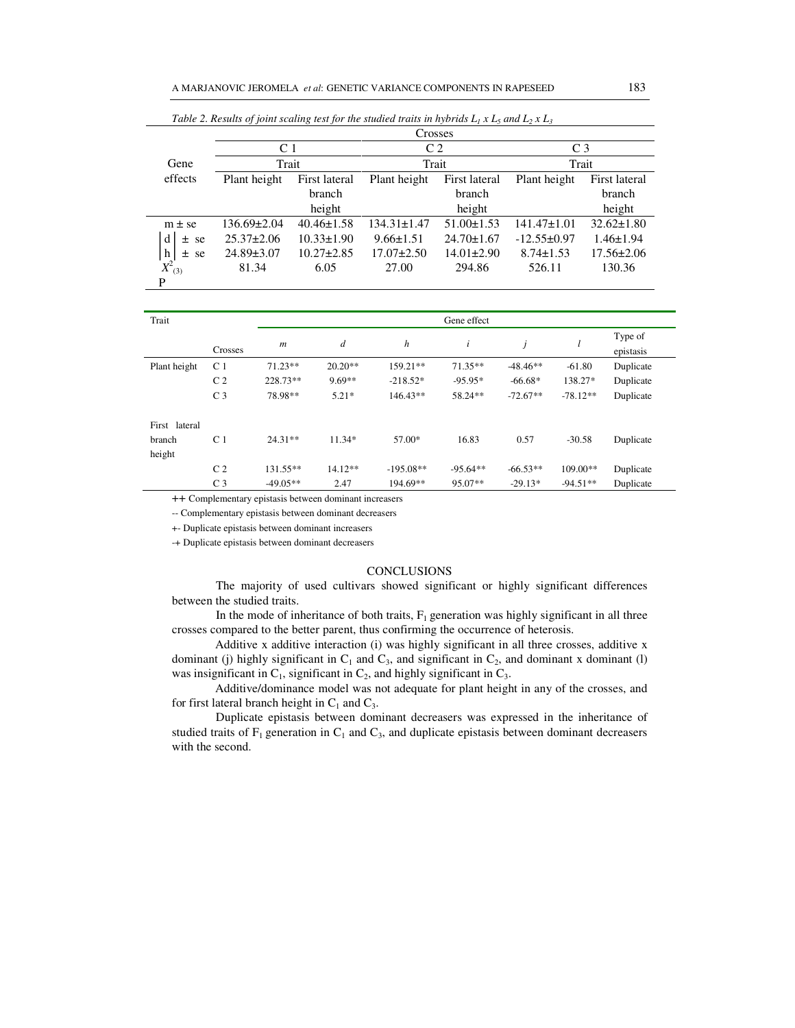|               | Crosses           |                  |                   |                  |                   |                  |  |  |
|---------------|-------------------|------------------|-------------------|------------------|-------------------|------------------|--|--|
|               | C <sub>1</sub>    |                  | C <sub>2</sub>    |                  | C <sub>3</sub>    |                  |  |  |
| Gene          | Trait             |                  | Trait             |                  | Trait             |                  |  |  |
| effects       | Plant height      | First lateral    | Plant height      | First lateral    | Plant height      | First lateral    |  |  |
|               |                   | branch           |                   | branch           |                   | branch           |  |  |
|               |                   | height           |                   | height           |                   | height           |  |  |
| $m \pm s$ e   | $136.69 \pm 2.04$ | $40.46 \pm 1.58$ | $134.31 \pm 1.47$ | $51.00 \pm 1.53$ | $141.47 \pm 1.01$ | $32.62 \pm 1.80$ |  |  |
| d<br>$±$ se   | $25.37 \pm 2.06$  | $10.33 \pm 1.90$ | $9.66 \pm 1.51$   | $24.70 \pm 1.67$ | $-12.55 \pm 0.97$ | $1.46 \pm 1.94$  |  |  |
| h<br>$\pm$ se | $24.89 \pm 3.07$  | $10.27 \pm 2.85$ | $17.07 \pm 2.50$  | $14.01 \pm 2.90$ | $8.74 \pm 1.53$   | $17.56 \pm 2.06$ |  |  |
| $X^2_{(3)}$   | 81.34             | 6.05             | 27.00             | 294.86           | 526.11            | 130.36           |  |  |
| P             |                   |                  |                   |                  |                   |                  |  |  |

*Table 2. Results of joint scaling test for the studied traits in hybrids*  $L_1 x L_5$  *and*  $L_2 x L_3$ 

| Trait         |                |                  |                  |             | Gene effect |            |            |                      |
|---------------|----------------|------------------|------------------|-------------|-------------|------------|------------|----------------------|
|               | Crosses        | $\boldsymbol{m}$ | $\boldsymbol{d}$ | h           | i           | j          |            | Type of<br>epistasis |
| Plant height  | C <sub>1</sub> | $71.23**$        | $20.20**$        | 159.21**    | $71.35**$   | $-48.46**$ | $-61.80$   | Duplicate            |
|               | C <sub>2</sub> | 228.73**         | $9.69**$         | $-218.52*$  | $-95.95*$   | $-66.68*$  | 138.27*    | Duplicate            |
|               | C <sub>3</sub> | 78.98**          | $5.21*$          | 146.43**    | 58.24**     | $-72.67**$ | $-78.12**$ | Duplicate            |
| First lateral |                |                  |                  |             |             |            |            |                      |
| branch        | C <sub>1</sub> | $24.31**$        | $11.34*$         | 57.00*      | 16.83       | 0.57       | $-30.58$   | Duplicate            |
| height        |                |                  |                  |             |             |            |            |                      |
|               | C <sub>2</sub> | 131.55**         | $14.12**$        | $-195.08**$ | $-95.64**$  | $-66.53**$ | $109.00**$ | Duplicate            |
|               | C <sub>3</sub> | $-49.05**$       | 2.47             | 194.69**    | 95.07**     | $-29.13*$  | $-94.51**$ | Duplicate            |

++ Complementary epistasis between dominant increasers

-- Complementary epistasis between dominant decreasers

+- Duplicate epistasis between dominant increasers

-+ Duplicate epistasis between dominant decreasers

## CONCLUSIONS

 The majority of used cultivars showed significant or highly significant differences between the studied traits.

In the mode of inheritance of both traits,  $F_1$  generation was highly significant in all three crosses compared to the better parent, thus confirming the occurrence of heterosis.

Additive x additive interaction (i) was highly significant in all three crosses, additive x dominant (j) highly significant in  $C_1$  and  $C_3$ , and significant in  $C_2$ , and dominant x dominant (l) was insignificant in  $C_1$ , significant in  $C_2$ , and highly significant in  $C_3$ .

Additive/dominance model was not adequate for plant height in any of the crosses, and for first lateral branch height in  $C_1$  and  $C_3$ .

 Duplicate epistasis between dominant decreasers was expressed in the inheritance of studied traits of  $F_1$  generation in  $C_1$  and  $C_3$ , and duplicate epistasis between dominant decreasers with the second.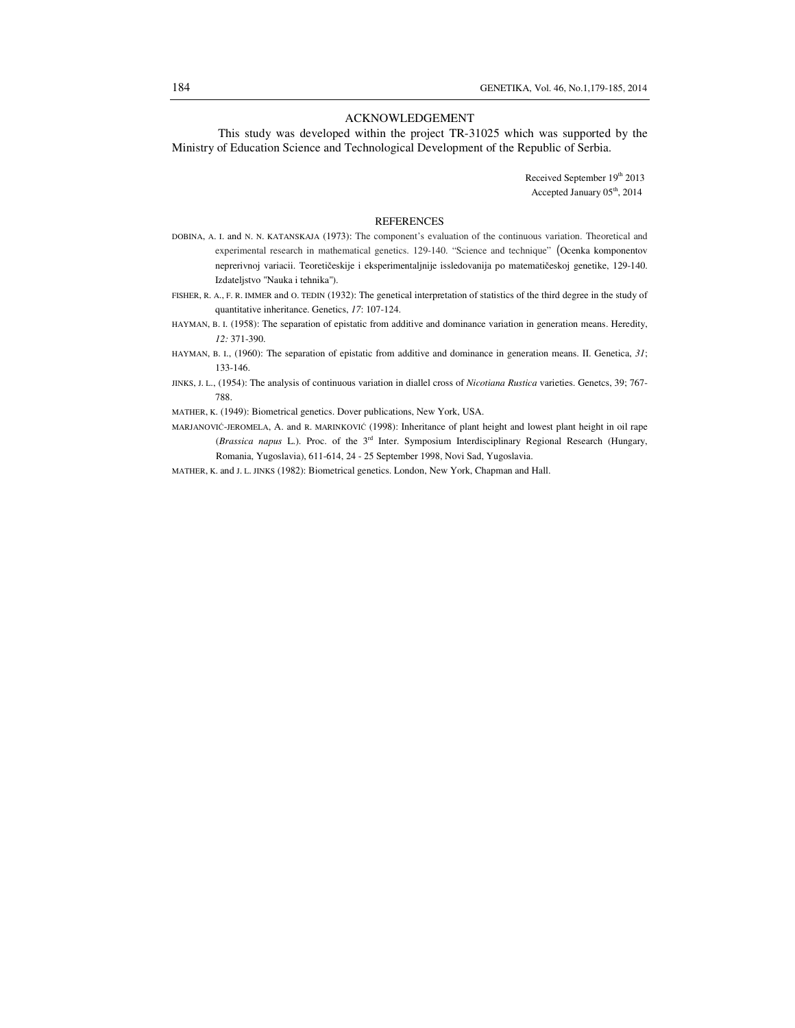#### ACKNOWLEDGEMENT

 This study was developed within the project TR-31025 which was supported by the Ministry of Education Science and Technological Development of the Republic of Serbia.

> Received September 19th 2013 Accepted January 05<sup>th</sup>, 2014

### **REFERENCES**

- DOBINA, A. I. and N. N. KATANSKAJA (1973): The component's evaluation of the continuous variation. Theoretical and experimental research in mathematical genetics. 129-140. "Science and technique" (Ocenka komponentov neprerivnoj variacii. Teoretičeskije i eksperimentaljnije issledovanija po matematičeskoj genetike, 129-140. Izdateljstvo "Nauka i tehnika").
- FISHER, R. A., F. R. IMMER and O. TEDIN (1932): The genetical interpretation of statistics of the third degree in the study of quantitative inheritance. Genetics, *17*: 107-124.
- HAYMAN, B. I. (1958): The separation of epistatic from additive and dominance variation in generation means. Heredity, *12:* 371-390.
- HAYMAN, B. I., (1960): The separation of epistatic from additive and dominance in generation means. II. Genetica, *31*; 133-146.
- JINKS, J. L., (1954): The analysis of continuous variation in diallel cross of *Nicotiana Rustica* varieties. Genetcs, 39; 767- 788.
- MATHER, K. (1949): Biometrical genetics. Dover publications, New York, USA.
- MARJANOVIĆ-JEROMELA, A. and R. MARINKOVIĆ (1998): Inheritance of plant height and lowest plant height in oil rape (*Brassica napus* L.). Proc. of the 3rd Inter. Symposium Interdisciplinary Regional Research (Hungary, Romania, Yugoslavia), 611-614, 24 - 25 September 1998, Novi Sad, Yugoslavia.
- MATHER, K. and J. L. JINKS (1982): Biometrical genetics. London, New York, Chapman and Hall.